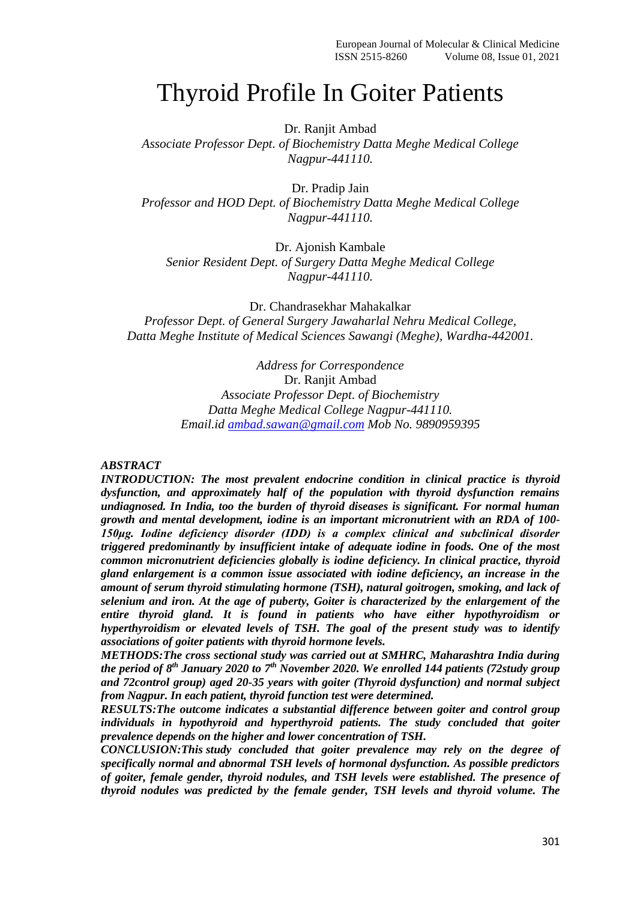# Thyroid Profile In Goiter Patients

Dr. Ranjit Ambad

*Associate Professor Dept. of Biochemistry Datta Meghe Medical College Nagpur-441110.*

Dr. Pradip Jain *Professor and HOD Dept. of Biochemistry Datta Meghe Medical College Nagpur-441110.*

Dr. Ajonish Kambale *Senior Resident Dept. of Surgery Datta Meghe Medical College Nagpur-441110.*

Dr. Chandrasekhar Mahakalkar *Professor Dept. of General Surgery Jawaharlal Nehru Medical College, Datta Meghe Institute of Medical Sciences Sawangi (Meghe), Wardha-442001.*

> *Address for Correspondence* Dr. Ranjit Ambad *Associate Professor Dept. of Biochemistry Datta Meghe Medical College Nagpur-441110. Email.id [ambad.sawan@gmail.com](mailto:ambad.sawan@gmail.com) Mob No. 9890959395*

#### *ABSTRACT*

*INTRODUCTION: The most prevalent endocrine condition in clinical practice is thyroid dysfunction, and approximately half of the population with thyroid dysfunction remains undiagnosed. In India, too the burden of thyroid diseases is significant. For normal human growth and mental development, iodine is an important micronutrient with an RDA of 100- 150μg. Iodine deficiency disorder (IDD) is a complex clinical and subclinical disorder triggered predominantly by insufficient intake of adequate iodine in foods. One of the most common micronutrient deficiencies globally is iodine deficiency. In clinical practice, thyroid gland enlargement is a common issue associated with iodine deficiency, an increase in the amount of serum thyroid stimulating hormone (TSH), natural goitrogen, smoking, and lack of selenium and iron. At the age of puberty, Goiter is characterized by the enlargement of the entire thyroid gland. It is found in patients who have either hypothyroidism or hyperthyroidism or elevated levels of TSH. The goal of the present study was to identify associations of goiter patients with thyroid hormone levels.*

*METHODS:The cross sectional study was carried out at SMHRC, Maharashtra India during the period of 8 th January 2020 to 7th November 2020. We enrolled 144 patients (72study group and 72control group) aged 20-35 years with goiter (Thyroid dysfunction) and normal subject from Nagpur. In each patient, thyroid function test were determined.* 

*RESULTS:The outcome indicates a substantial difference between goiter and control group individuals in hypothyroid and hyperthyroid patients. The study concluded that goiter prevalence depends on the higher and lower concentration of TSH.*

*CONCLUSION:This study concluded that goiter prevalence may rely on the degree of specifically normal and abnormal TSH levels of hormonal dysfunction. As possible predictors of goiter, female gender, thyroid nodules, and TSH levels were established. The presence of thyroid nodules was predicted by the female gender, TSH levels and thyroid volume. The*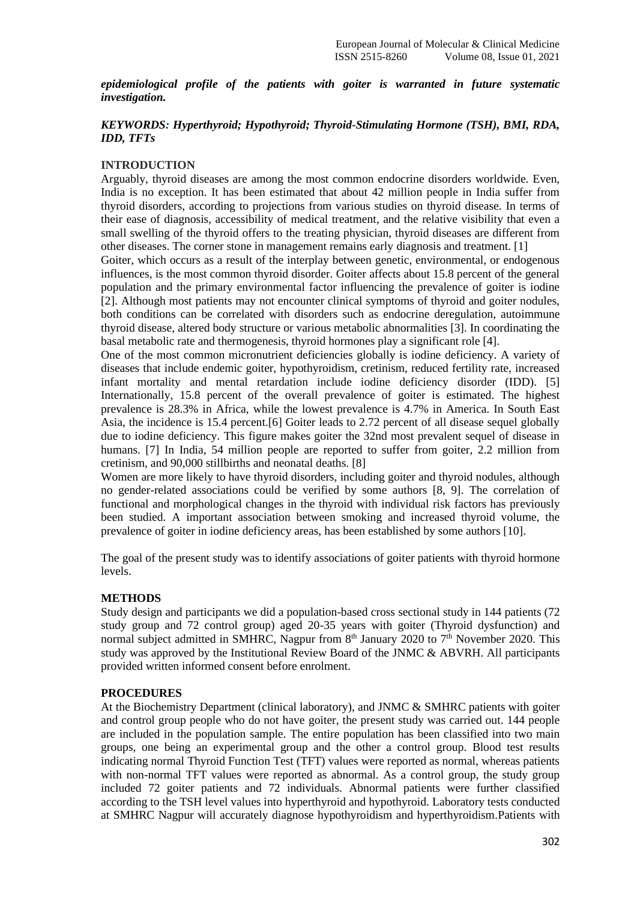*epidemiological profile of the patients with goiter is warranted in future systematic investigation.*

## *KEYWORDS: Hyperthyroid; Hypothyroid; Thyroid-Stimulating Hormone (TSH), BMI, RDA, IDD, TFTs*

## **INTRODUCTION**

Arguably, thyroid diseases are among the most common endocrine disorders worldwide. Even, India is no exception. It has been estimated that about 42 million people in India suffer from thyroid disorders, according to projections from various studies on thyroid disease. In terms of their ease of diagnosis, accessibility of medical treatment, and the relative visibility that even a small swelling of the thyroid offers to the treating physician, thyroid diseases are different from other diseases. The corner stone in management remains early diagnosis and treatment. [1]

Goiter, which occurs as a result of the interplay between genetic, environmental, or endogenous influences, is the most common thyroid disorder. Goiter affects about 15.8 percent of the general population and the primary environmental factor influencing the prevalence of goiter is iodine [2]. Although most patients may not encounter clinical symptoms of thyroid and goiter nodules, both conditions can be correlated with disorders such as endocrine deregulation, autoimmune thyroid disease, altered body structure or various metabolic abnormalities [3]. In coordinating the basal metabolic rate and thermogenesis, thyroid hormones play a significant role [4].

One of the most common micronutrient deficiencies globally is iodine deficiency. A variety of diseases that include endemic goiter, hypothyroidism, cretinism, reduced fertility rate, increased infant mortality and mental retardation include iodine deficiency disorder (IDD). [5] Internationally, 15.8 percent of the overall prevalence of goiter is estimated. The highest prevalence is 28.3% in Africa, while the lowest prevalence is 4.7% in America. In South East Asia, the incidence is 15.4 percent.[6] Goiter leads to 2.72 percent of all disease sequel globally due to iodine deficiency. This figure makes goiter the 32nd most prevalent sequel of disease in humans. [7] In India, 54 million people are reported to suffer from goiter, 2.2 million from cretinism, and 90,000 stillbirths and neonatal deaths. [8]

Women are more likely to have thyroid disorders, including goiter and thyroid nodules, although no gender-related associations could be verified by some authors [8, 9]. The correlation of functional and morphological changes in the thyroid with individual risk factors has previously been studied. A important association between smoking and increased thyroid volume, the prevalence of goiter in iodine deficiency areas, has been established by some authors [10].

The goal of the present study was to identify associations of goiter patients with thyroid hormone levels.

## **METHODS**

Study design and participants we did a population-based cross sectional study in 144 patients (72 study group and 72 control group) aged 20-35 years with goiter (Thyroid dysfunction) and normal subject admitted in SMHRC, Nagpur from  $8<sup>th</sup>$  January 2020 to  $7<sup>th</sup>$  November 2020. This study was approved by the Institutional Review Board of the JNMC & ABVRH. All participants provided written informed consent before enrolment.

## **PROCEDURES**

At the Biochemistry Department (clinical laboratory), and JNMC & SMHRC patients with goiter and control group people who do not have goiter, the present study was carried out. 144 people are included in the population sample. The entire population has been classified into two main groups, one being an experimental group and the other a control group. Blood test results indicating normal Thyroid Function Test (TFT) values were reported as normal, whereas patients with non-normal TFT values were reported as abnormal. As a control group, the study group included 72 goiter patients and 72 individuals. Abnormal patients were further classified according to the TSH level values into hyperthyroid and hypothyroid. Laboratory tests conducted at SMHRC Nagpur will accurately diagnose hypothyroidism and hyperthyroidism.Patients with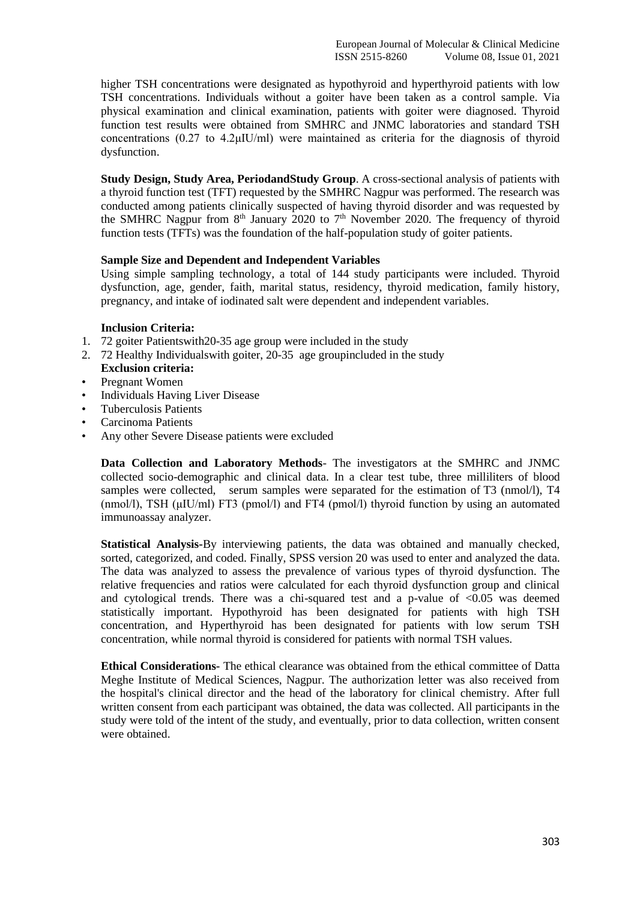higher TSH concentrations were designated as hypothyroid and hyperthyroid patients with low TSH concentrations. Individuals without a goiter have been taken as a control sample. Via physical examination and clinical examination, patients with goiter were diagnosed. Thyroid function test results were obtained from SMHRC and JNMC laboratories and standard TSH concentrations (0.27 to 4.2μIU/ml) were maintained as criteria for the diagnosis of thyroid dysfunction.

**Study Design, Study Area, PeriodandStudy Group**. A cross-sectional analysis of patients with a thyroid function test (TFT) requested by the SMHRC Nagpur was performed. The research was conducted among patients clinically suspected of having thyroid disorder and was requested by the SMHRC Nagpur from  $8<sup>th</sup>$  January 2020 to  $7<sup>th</sup>$  November 2020. The frequency of thyroid function tests (TFTs) was the foundation of the half-population study of goiter patients.

## **Sample Size and Dependent and Independent Variables**

Using simple sampling technology, a total of 144 study participants were included. Thyroid dysfunction, age, gender, faith, marital status, residency, thyroid medication, family history, pregnancy, and intake of iodinated salt were dependent and independent variables.

## **Inclusion Criteria:**

- 1. 72 goiter Patientswith20-35 age group were included in the study
- 2. 72 Healthy Individualswith goiter, 20-35 age groupincluded in the study **Exclusion criteria:**
- Pregnant Women
- Individuals Having Liver Disease
- Tuberculosis Patients
- Carcinoma Patients
- Any other Severe Disease patients were excluded

**Data Collection and Laboratory Methods**- The investigators at the SMHRC and JNMC collected socio-demographic and clinical data. In a clear test tube, three milliliters of blood samples were collected, serum samples were separated for the estimation of T3 (nmol/l), T4 (nmol/l), TSH (μIU/ml) FT3 (pmol/l) and FT4 (pmol/l) thyroid function by using an automated immunoassay analyzer.

**Statistical Analysis-**By interviewing patients, the data was obtained and manually checked, sorted, categorized, and coded. Finally, SPSS version 20 was used to enter and analyzed the data. The data was analyzed to assess the prevalence of various types of thyroid dysfunction. The relative frequencies and ratios were calculated for each thyroid dysfunction group and clinical and cytological trends. There was a chi-squared test and a p-value of  $\langle 0.05 \rangle$  was deemed statistically important. Hypothyroid has been designated for patients with high TSH concentration, and Hyperthyroid has been designated for patients with low serum TSH concentration, while normal thyroid is considered for patients with normal TSH values.

**Ethical Considerations-** The ethical clearance was obtained from the ethical committee of Datta Meghe Institute of Medical Sciences, Nagpur. The authorization letter was also received from the hospital's clinical director and the head of the laboratory for clinical chemistry. After full written consent from each participant was obtained, the data was collected. All participants in the study were told of the intent of the study, and eventually, prior to data collection, written consent were obtained.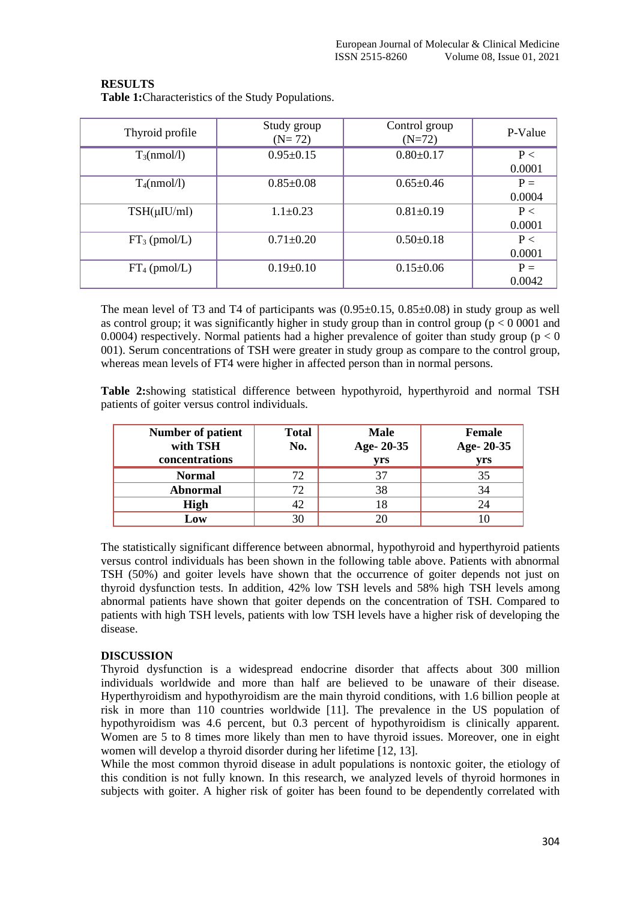**Table 1:**Characteristics of the Study Populations.

| Thyroid profile  | Study group<br>$(N=72)$ | Control group<br>$(N=72)$ | P-Value            |
|------------------|-------------------------|---------------------------|--------------------|
| $T_3$ (nmol/l)   | $0.95 \pm 0.15$         | $0.80 \pm 0.17$           | P<<br>0.0001       |
| $T_4$ (nmol/l)   | $0.85 \pm 0.08$         | $0.65 \pm 0.46$           | $P =$<br>0.0004    |
| $TSH(\mu IU/ml)$ | $1.1 \pm 0.23$          | $0.81 \pm 0.19$           | $P \leq$<br>0.0001 |
| $FT_3$ (pmol/L)  | $0.71 \pm 0.20$         | $0.50 \pm 0.18$           | P <<br>0.0001      |
| $FT_4$ (pmol/L)  | $0.19 \pm 0.10$         | $0.15 \pm 0.06$           | $P =$<br>0.0042    |

The mean level of T3 and T4 of participants was  $(0.95\pm0.15, 0.85\pm0.08)$  in study group as well as control group; it was significantly higher in study group than in control group ( $p < 0.0001$ ) and 0.0004) respectively. Normal patients had a higher prevalence of goiter than study group ( $p < 0$ ) 001). Serum concentrations of TSH were greater in study group as compare to the control group, whereas mean levels of FT4 were higher in affected person than in normal persons.

**Table 2:**showing statistical difference between hypothyroid, hyperthyroid and normal TSH patients of goiter versus control individuals.

| <b>Number of patient</b><br>with TSH<br>concentrations | <b>Total</b><br>No. | <b>Male</b><br>Age-20-35<br>yrs | <b>Female</b><br>Age-20-35<br>yrs |
|--------------------------------------------------------|---------------------|---------------------------------|-----------------------------------|
| <b>Normal</b>                                          | 72                  | 37                              | 35                                |
| <b>Abnormal</b>                                        | 72                  | 38                              | 34                                |
| <b>High</b>                                            |                     | 18                              |                                   |
| Low                                                    |                     |                                 |                                   |

The statistically significant difference between abnormal, hypothyroid and hyperthyroid patients versus control individuals has been shown in the following table above. Patients with abnormal TSH (50%) and goiter levels have shown that the occurrence of goiter depends not just on thyroid dysfunction tests. In addition, 42% low TSH levels and 58% high TSH levels among abnormal patients have shown that goiter depends on the concentration of TSH. Compared to patients with high TSH levels, patients with low TSH levels have a higher risk of developing the disease.

## **DISCUSSION**

Thyroid dysfunction is a widespread endocrine disorder that affects about 300 million individuals worldwide and more than half are believed to be unaware of their disease. Hyperthyroidism and hypothyroidism are the main thyroid conditions, with 1.6 billion people at risk in more than 110 countries worldwide [11]. The prevalence in the US population of hypothyroidism was 4.6 percent, but 0.3 percent of hypothyroidism is clinically apparent. Women are 5 to 8 times more likely than men to have thyroid issues. Moreover, one in eight women will develop a thyroid disorder during her lifetime [12, 13].

While the most common thyroid disease in adult populations is nontoxic goiter, the etiology of this condition is not fully known. In this research, we analyzed levels of thyroid hormones in subjects with goiter. A higher risk of goiter has been found to be dependently correlated with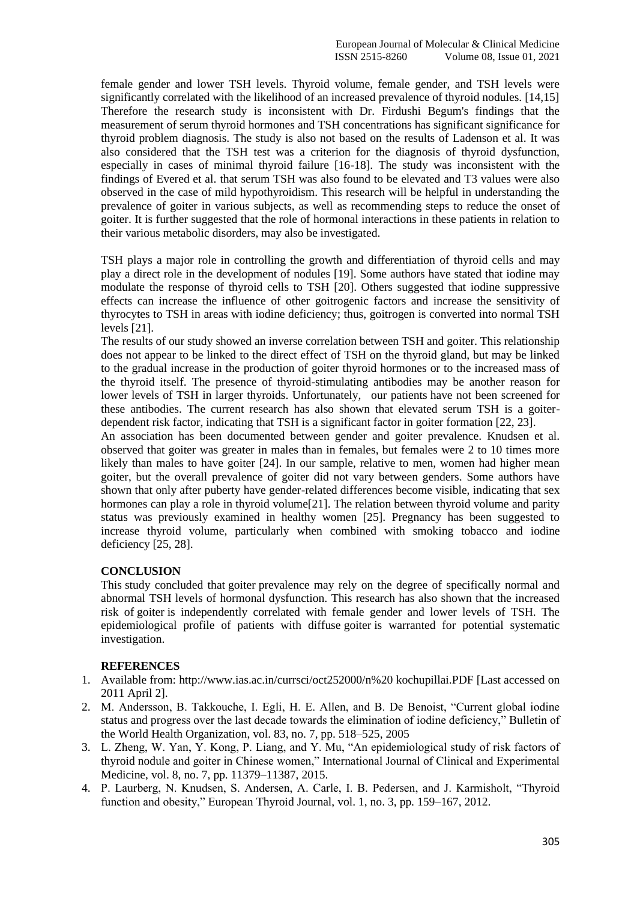female gender and lower TSH levels. Thyroid volume, female gender, and TSH levels were significantly correlated with the likelihood of an increased prevalence of thyroid nodules. [14,15] Therefore the research study is inconsistent with Dr. Firdushi Begum's findings that the measurement of serum thyroid hormones and TSH concentrations has significant significance for thyroid problem diagnosis. The study is also not based on the results of Ladenson et al. It was also considered that the TSH test was a criterion for the diagnosis of thyroid dysfunction, especially in cases of minimal thyroid failure [16-18]. The study was inconsistent with the findings of Evered et al. that serum TSH was also found to be elevated and T3 values were also observed in the case of mild hypothyroidism. This research will be helpful in understanding the prevalence of goiter in various subjects, as well as recommending steps to reduce the onset of goiter. It is further suggested that the role of hormonal interactions in these patients in relation to their various metabolic disorders, may also be investigated.

TSH plays a major role in controlling the growth and differentiation of thyroid cells and may play a direct role in the development of nodules [19]. Some authors have stated that iodine may modulate the response of thyroid cells to TSH [20]. Others suggested that iodine suppressive effects can increase the influence of other goitrogenic factors and increase the sensitivity of thyrocytes to TSH in areas with iodine deficiency; thus, goitrogen is converted into normal TSH levels [21].

The results of our study showed an inverse correlation between TSH and goiter. This relationship does not appear to be linked to the direct effect of TSH on the thyroid gland, but may be linked to the gradual increase in the production of goiter thyroid hormones or to the increased mass of the thyroid itself. The presence of thyroid-stimulating antibodies may be another reason for lower levels of TSH in larger thyroids. Unfortunately, our patients have not been screened for these antibodies. The current research has also shown that elevated serum TSH is a goiterdependent risk factor, indicating that TSH is a significant factor in goiter formation [22, 23].

An association has been documented between gender and goiter prevalence. Knudsen et al. observed that goiter was greater in males than in females, but females were 2 to 10 times more likely than males to have goiter [24]. In our sample, relative to men, women had higher mean goiter, but the overall prevalence of goiter did not vary between genders. Some authors have shown that only after puberty have gender-related differences become visible, indicating that sex hormones can play a role in thyroid volume[21]. The relation between thyroid volume and parity status was previously examined in healthy women [25]. Pregnancy has been suggested to increase thyroid volume, particularly when combined with smoking tobacco and iodine deficiency [25, 28].

## **CONCLUSION**

This study concluded that goiter prevalence may rely on the degree of specifically normal and abnormal TSH levels of hormonal dysfunction. This research has also shown that the increased risk of goiter is independently correlated with female gender and lower levels of TSH. The epidemiological profile of patients with diffuse goiter is warranted for potential systematic investigation.

## **REFERENCES**

- 1. Available from: [http://www.ias.ac.in/currsci/oct252000/n%20](http://www.ias.ac.in/currsci/oct252000/n) kochupillai.PDF [Last accessed on 2011 April 2].
- 2. M. Andersson, B. Takkouche, I. Egli, H. E. Allen, and B. De Benoist, "Current global iodine status and progress over the last decade towards the elimination of iodine deficiency," Bulletin of the World Health Organization, vol. 83, no. 7, pp. 518–525, 2005
- 3. L. Zheng, W. Yan, Y. Kong, P. Liang, and Y. Mu, "An epidemiological study of risk factors of thyroid nodule and goiter in Chinese women," International Journal of Clinical and Experimental Medicine, vol. 8, no. 7, pp. 11379–11387, 2015.
- 4. P. Laurberg, N. Knudsen, S. Andersen, A. Carle, I. B. Pedersen, and J. Karmisholt, "Thyroid function and obesity," European Thyroid Journal, vol. 1, no. 3, pp. 159–167, 2012.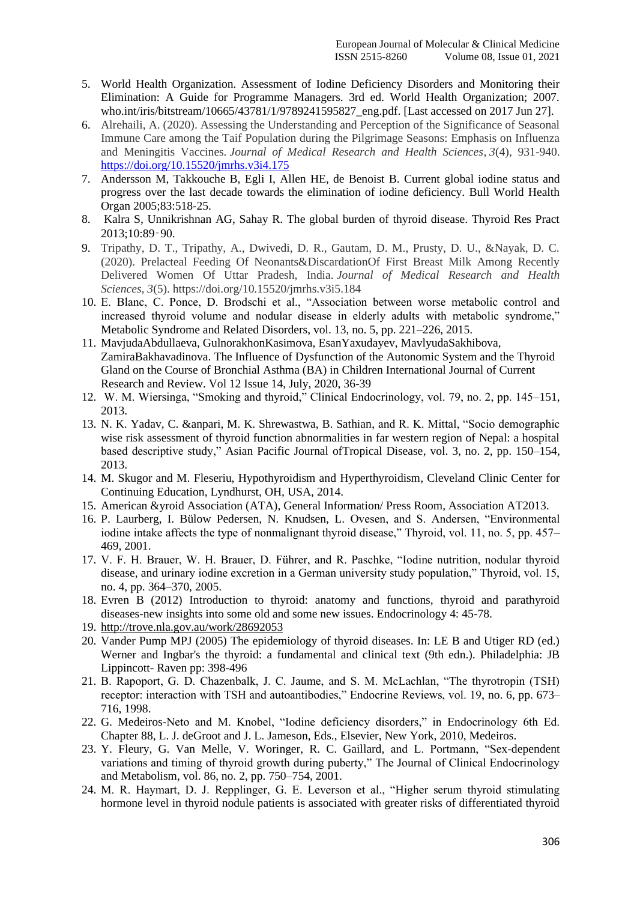- 5. World Health Organization. Assessment of Iodine Deficiency Disorders and Monitoring their Elimination: A Guide for Programme Managers. 3rd ed. World Health Organization; 2007. who.int/iris/bitstream/10665/43781/1/9789241595827\_eng.pdf. [Last accessed on 2017 Jun 27].
- 6. Alrehaili, A. (2020). Assessing the Understanding and Perception of the Significance of Seasonal Immune Care among the Taif Population during the Pilgrimage Seasons: Emphasis on Influenza and Meningitis Vaccines. *Journal of Medical Research and Health Sciences*, *3*(4), 931-940. <https://doi.org/10.15520/jmrhs.v3i4.175>
- 7. Andersson M, Takkouche B, Egli I, Allen HE, de Benoist B. Current global iodine status and progress over the last decade towards the elimination of iodine deficiency. Bull World Health Organ 2005;83:518-25.
- 8. Kalra S, Unnikrishnan AG, Sahay R. The global burden of thyroid disease. Thyroid Res Pract 2013;10:89‑90.
- 9. Tripathy, D. T., Tripathy, A., Dwivedi, D. R., Gautam, D. M., Prusty, D. U., &Nayak, D. C. (2020). Prelacteal Feeding Of Neonants&DiscardationOf First Breast Milk Among Recently Delivered Women Of Uttar Pradesh, India. *Journal of Medical Research and Health Sciences*, *3*(5). https://doi.org/10.15520/jmrhs.v3i5.184
- 10. E. Blanc, C. Ponce, D. Brodschi et al., "Association between worse metabolic control and increased thyroid volume and nodular disease in elderly adults with metabolic syndrome," Metabolic Syndrome and Related Disorders, vol. 13, no. 5, pp. 221–226, 2015.
- 11. MavjudaAbdullaeva, GulnorakhonKasimova, EsanYaxudayev, MavlyudaSakhibova, ZamiraBakhavadinova. The Influence of Dysfunction of the Autonomic System and the Thyroid Gland on the Course of Bronchial Asthma (BA) in Children International Journal of Current Research and Review. Vol 12 Issue 14, July, 2020, 36-39
- 12. W. M. Wiersinga, "Smoking and thyroid," Clinical Endocrinology, vol. 79, no. 2, pp. 145–151, 2013.
- 13. N. K. Yadav, C. &anpari, M. K. Shrewastwa, B. Sathian, and R. K. Mittal, "Socio demographic wise risk assessment of thyroid function abnormalities in far western region of Nepal: a hospital based descriptive study," Asian Pacific Journal ofTropical Disease, vol. 3, no. 2, pp. 150–154, 2013.
- 14. M. Skugor and M. Fleseriu, Hypothyroidism and Hyperthyroidism, Cleveland Clinic Center for Continuing Education, Lyndhurst, OH, USA, 2014.
- 15. American &yroid Association (ATA), General Information/ Press Room, Association AT2013.
- 16. P. Laurberg, I. Bülow Pedersen, N. Knudsen, L. Ovesen, and S. Andersen, "Environmental iodine intake affects the type of nonmalignant thyroid disease," Thyroid, vol. 11, no. 5, pp. 457– 469, 2001.
- 17. V. F. H. Brauer, W. H. Brauer, D. Führer, and R. Paschke, "Iodine nutrition, nodular thyroid disease, and urinary iodine excretion in a German university study population," Thyroid, vol. 15, no. 4, pp. 364–370, 2005.
- 18. Evren B (2012) Introduction to thyroid: anatomy and functions, thyroid and parathyroid diseases-new insights into some old and some new issues. Endocrinology 4: 45-78.
- 19. <http://trove.nla.gov.au/work/28692053>
- 20. Vander Pump MPJ (2005) The epidemiology of thyroid diseases. In: LE B and Utiger RD (ed.) Werner and Ingbar's the thyroid: a fundamental and clinical text (9th edn.). Philadelphia: JB Lippincott- Raven pp: 398-496
- 21. B. Rapoport, G. D. Chazenbalk, J. C. Jaume, and S. M. McLachlan, "The thyrotropin (TSH) receptor: interaction with TSH and autoantibodies," Endocrine Reviews, vol. 19, no. 6, pp. 673– 716, 1998.
- 22. G. Medeiros-Neto and M. Knobel, "Iodine deficiency disorders," in Endocrinology 6th Ed. Chapter 88, L. J. deGroot and J. L. Jameson, Eds., Elsevier, New York, 2010, Medeiros.
- 23. Y. Fleury, G. Van Melle, V. Woringer, R. C. Gaillard, and L. Portmann, "Sex-dependent variations and timing of thyroid growth during puberty," The Journal of Clinical Endocrinology and Metabolism, vol. 86, no. 2, pp. 750–754, 2001.
- 24. M. R. Haymart, D. J. Repplinger, G. E. Leverson et al., "Higher serum thyroid stimulating hormone level in thyroid nodule patients is associated with greater risks of differentiated thyroid